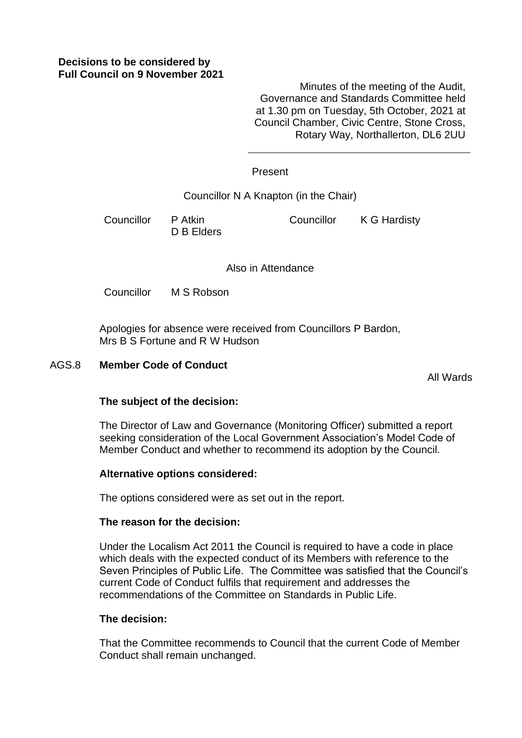Minutes of the meeting of the Audit, Governance and Standards Committee held at 1.30 pm on Tuesday, 5th October, 2021 at Council Chamber, Civic Centre, Stone Cross, Rotary Way, Northallerton, DL6 2UU

# Present

Councillor N A Knapton (in the Chair)

Councillor P Atkin D B Elders Councillor K G Hardisty

Also in Attendance

Councillor M S Robson

Apologies for absence were received from Councillors P Bardon, Mrs B S Fortune and R W Hudson

### AGS.8 **Member Code of Conduct**

All Wards

# **The subject of the decision:**

The Director of Law and Governance (Monitoring Officer) submitted a report seeking consideration of the Local Government Association's Model Code of Member Conduct and whether to recommend its adoption by the Council.

# **Alternative options considered:**

The options considered were as set out in the report.

#### **The reason for the decision:**

Under the Localism Act 2011 the Council is required to have a code in place which deals with the expected conduct of its Members with reference to the Seven Principles of Public Life. The Committee was satisfied that the Council's current Code of Conduct fulfils that requirement and addresses the recommendations of the Committee on Standards in Public Life.

#### **The decision:**

That the Committee recommends to Council that the current Code of Member Conduct shall remain unchanged.